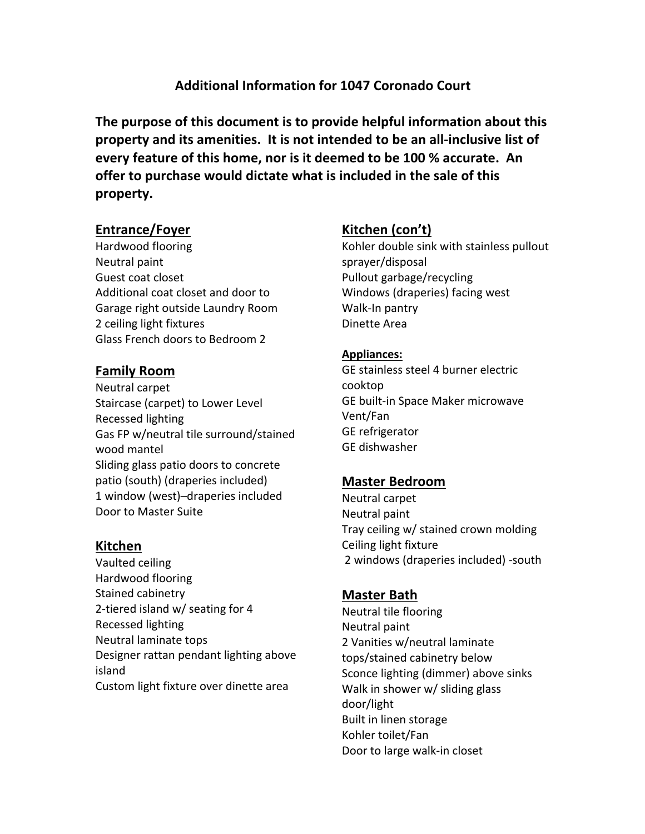# **Additional Information for 1047 Coronado Court**

**The purpose of this document is to provide helpful information about this property and its amenities. It is not intended to be an all-inclusive list of every feature of this home, nor is it deemed to be 100 % accurate. An** offer to purchase would dictate what is included in the sale of this **property.** 

## **Entrance/Foyer**

Hardwood flooring Neutral paint Guest coat closet Additional coat closet and door to Garage right outside Laundry Room 2 ceiling light fixtures Glass French doors to Bedroom 2

# **Family Room**

Neutral carpet Staircase (carpet) to Lower Level Recessed lighting Gas FP w/neutral tile surround/stained wood mantel Sliding glass patio doors to concrete patio (south) (draperies included) 1 window (west)–draperies included Door to Master Suite

### **Kitchen**

Vaulted ceiling Hardwood flooring Stained cabinetry 2-tiered island  $w/$  seating for 4 Recessed lighting Neutral laminate tops Designer rattan pendant lighting above island Custom light fixture over dinette area

# Kitchen (con't)

Kohler double sink with stainless pullout sprayer/disposal Pullout garbage/recycling Windows (draperies) facing west Walk-In pantry Dinette Area

#### **Appliances:**

GE stainless steel 4 burner electric cooktop GE built-in Space Maker microwave Vent/Fan GE refrigerator GE dishwasher

# **Master Bedroom**

Neutral carpet Neutral paint Tray ceiling w/ stained crown molding Ceiling light fixture 2 windows (draperies included) -south

### **Master Bath**

Neutral tile flooring Neutral paint 2 Vanities w/neutral laminate tops/stained cabinetry below Sconce lighting (dimmer) above sinks Walk in shower w/ sliding glass door/light Built in linen storage Kohler toilet/Fan Door to large walk-in closet